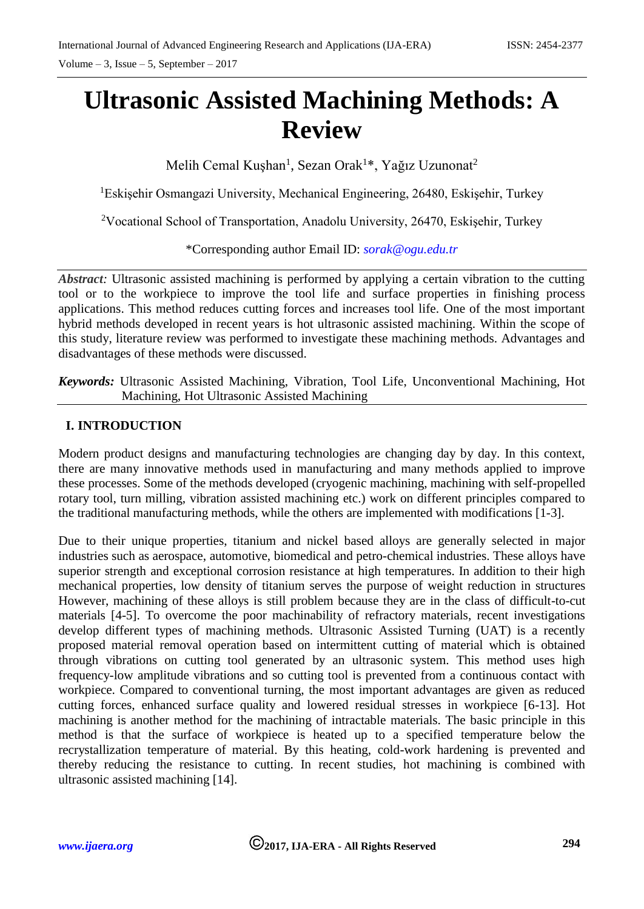# **Ultrasonic Assisted Machining Methods: A Review**

Melih Cemal Kuşhan<sup>1</sup>, Sezan Orak<sup>1\*</sup>, Yağız Uzunonat<sup>2</sup>

<sup>1</sup>Eskişehir Osmangazi University, Mechanical Engineering, 26480, Eskişehir, Turkey

<sup>2</sup>Vocational School of Transportation, Anadolu University, 26470, Eskisehir, Turkey

\*Corresponding author Email ID: *[sorak@ogu.edu.tr](mailto:sorak@ogu.edu.tr)*

*Abstract:* Ultrasonic assisted machining is performed by applying a certain vibration to the cutting tool or to the workpiece to improve the tool life and surface properties in finishing process applications. This method reduces cutting forces and increases tool life. One of the most important hybrid methods developed in recent years is hot ultrasonic assisted machining. Within the scope of this study, literature review was performed to investigate these machining methods. Advantages and disadvantages of these methods were discussed.

*Keywords:* Ultrasonic Assisted Machining, Vibration, Tool Life, Unconventional Machining, Hot Machining, Hot Ultrasonic Assisted Machining

## **I. INTRODUCTION**

Modern product designs and manufacturing technologies are changing day by day. In this context, there are many innovative methods used in manufacturing and many methods applied to improve these processes. Some of the methods developed (cryogenic machining, machining with self-propelled rotary tool, turn milling, vibration assisted machining etc.) work on different principles compared to the traditional manufacturing methods, while the others are implemented with modifications [1-3].

Due to their unique properties, titanium and nickel based alloys are generally selected in major industries such as aerospace, automotive, biomedical and petro-chemical industries. These alloys have superior strength and exceptional corrosion resistance at high temperatures. In addition to their high mechanical properties, low density of titanium serves the purpose of weight reduction in structures However, machining of these alloys is still problem because they are in the class of difficult-to-cut materials [4-5]. To overcome the poor machinability of refractory materials, recent investigations develop different types of machining methods. Ultrasonic Assisted Turning (UAT) is a recently proposed material removal operation based on intermittent cutting of material which is obtained through vibrations on cutting tool generated by an ultrasonic system. This method uses high frequency-low amplitude vibrations and so cutting tool is prevented from a continuous contact with workpiece. Compared to conventional turning, the most important advantages are given as reduced cutting forces, enhanced surface quality and lowered residual stresses in workpiece [6-13]. Hot machining is another method for the machining of intractable materials. The basic principle in this method is that the surface of workpiece is heated up to a specified temperature below the recrystallization temperature of material. By this heating, cold-work hardening is prevented and thereby reducing the resistance to cutting. In recent studies, hot machining is combined with ultrasonic assisted machining [14].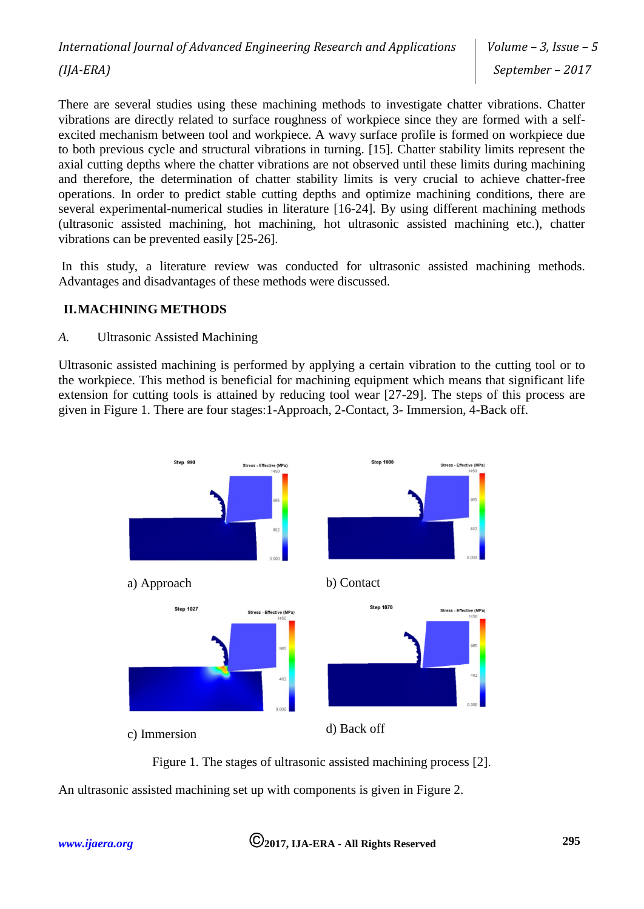There are several studies using these machining methods to investigate chatter vibrations. Chatter vibrations are directly related to surface roughness of workpiece since they are formed with a selfexcited mechanism between tool and workpiece. A wavy surface profile is formed on workpiece due to both previous cycle and structural vibrations in turning. [15]. Chatter stability limits represent the axial cutting depths where the chatter vibrations are not observed until these limits during machining and therefore, the determination of chatter stability limits is very crucial to achieve chatter-free operations. In order to predict stable cutting depths and optimize machining conditions, there are several experimental-numerical studies in literature [16-24]. By using different machining methods (ultrasonic assisted machining, hot machining, hot ultrasonic assisted machining etc.), chatter vibrations can be prevented easily [25-26].

In this study, a literature review was conducted for ultrasonic assisted machining methods. Advantages and disadvantages of these methods were discussed.

#### **II.MACHINING METHODS**

#### *A.* Ultrasonic Assisted Machining

Ultrasonic assisted machining is performed by applying a certain vibration to the cutting tool or to the workpiece. This method is beneficial for machining equipment which means that significant life extension for cutting tools is attained by reducing tool wear [27-29]. The steps of this process are given in Figure 1. There are four stages:1-Approach, 2-Contact, 3- Immersion, 4-Back off.



Figure 1. The stages of ultrasonic assisted machining process [2]. An ultrasonic assisted machining set up with components is given in Figure 2.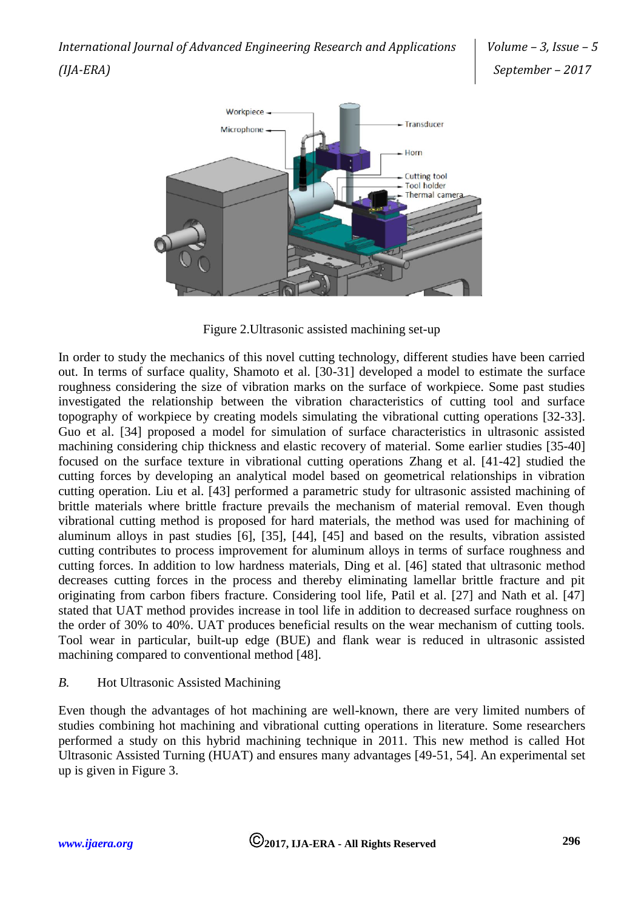

Figure 2.Ultrasonic assisted machining set-up

In order to study the mechanics of this novel cutting technology, different studies have been carried out. In terms of surface quality, Shamoto et al. [30-31] developed a model to estimate the surface roughness considering the size of vibration marks on the surface of workpiece. Some past studies investigated the relationship between the vibration characteristics of cutting tool and surface topography of workpiece by creating models simulating the vibrational cutting operations [32-33]. Guo et al. [34] proposed a model for simulation of surface characteristics in ultrasonic assisted machining considering chip thickness and elastic recovery of material. Some earlier studies [35-40] focused on the surface texture in vibrational cutting operations Zhang et al. [41-42] studied the cutting forces by developing an analytical model based on geometrical relationships in vibration cutting operation. Liu et al. [43] performed a parametric study for ultrasonic assisted machining of brittle materials where brittle fracture prevails the mechanism of material removal. Even though vibrational cutting method is proposed for hard materials, the method was used for machining of aluminum alloys in past studies [6], [35], [44], [45] and based on the results, vibration assisted cutting contributes to process improvement for aluminum alloys in terms of surface roughness and cutting forces. In addition to low hardness materials, Ding et al. [46] stated that ultrasonic method decreases cutting forces in the process and thereby eliminating lamellar brittle fracture and pit originating from carbon fibers fracture. Considering tool life, Patil et al. [27] and Nath et al. [47] stated that UAT method provides increase in tool life in addition to decreased surface roughness on the order of 30% to 40%. UAT produces beneficial results on the wear mechanism of cutting tools. Tool wear in particular, built-up edge (BUE) and flank wear is reduced in ultrasonic assisted machining compared to conventional method [48].

## *B.* Hot Ultrasonic Assisted Machining

Even though the advantages of hot machining are well-known, there are very limited numbers of studies combining hot machining and vibrational cutting operations in literature. Some researchers performed a study on this hybrid machining technique in 2011. This new method is called Hot Ultrasonic Assisted Turning (HUAT) and ensures many advantages [49-51, 54]. An experimental set up is given in Figure 3.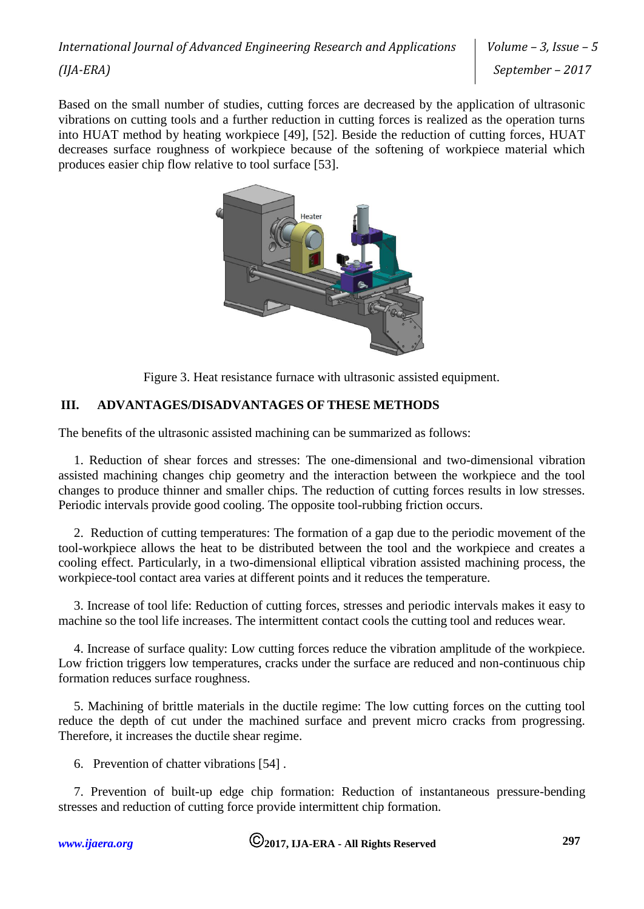Based on the small number of studies, cutting forces are decreased by the application of ultrasonic vibrations on cutting tools and a further reduction in cutting forces is realized as the operation turns into HUAT method by heating workpiece [49], [52]. Beside the reduction of cutting forces, HUAT decreases surface roughness of workpiece because of the softening of workpiece material which produces easier chip flow relative to tool surface [53].



Figure 3. Heat resistance furnace with ultrasonic assisted equipment.

## **III. ADVANTAGES/DISADVANTAGES OF THESE METHODS**

The benefits of the ultrasonic assisted machining can be summarized as follows:

1. Reduction of shear forces and stresses: The one-dimensional and two-dimensional vibration assisted machining changes chip geometry and the interaction between the workpiece and the tool changes to produce thinner and smaller chips. The reduction of cutting forces results in low stresses. Periodic intervals provide good cooling. The opposite tool-rubbing friction occurs.

2. Reduction of cutting temperatures: The formation of a gap due to the periodic movement of the tool-workpiece allows the heat to be distributed between the tool and the workpiece and creates a cooling effect. Particularly, in a two-dimensional elliptical vibration assisted machining process, the workpiece-tool contact area varies at different points and it reduces the temperature.

3. Increase of tool life: Reduction of cutting forces, stresses and periodic intervals makes it easy to machine so the tool life increases. The intermittent contact cools the cutting tool and reduces wear.

4. Increase of surface quality: Low cutting forces reduce the vibration amplitude of the workpiece. Low friction triggers low temperatures, cracks under the surface are reduced and non-continuous chip formation reduces surface roughness.

5. Machining of brittle materials in the ductile regime: The low cutting forces on the cutting tool reduce the depth of cut under the machined surface and prevent micro cracks from progressing. Therefore, it increases the ductile shear regime.

6. Prevention of chatter vibrations [54] .

7. Prevention of built-up edge chip formation: Reduction of instantaneous pressure-bending stresses and reduction of cutting force provide intermittent chip formation.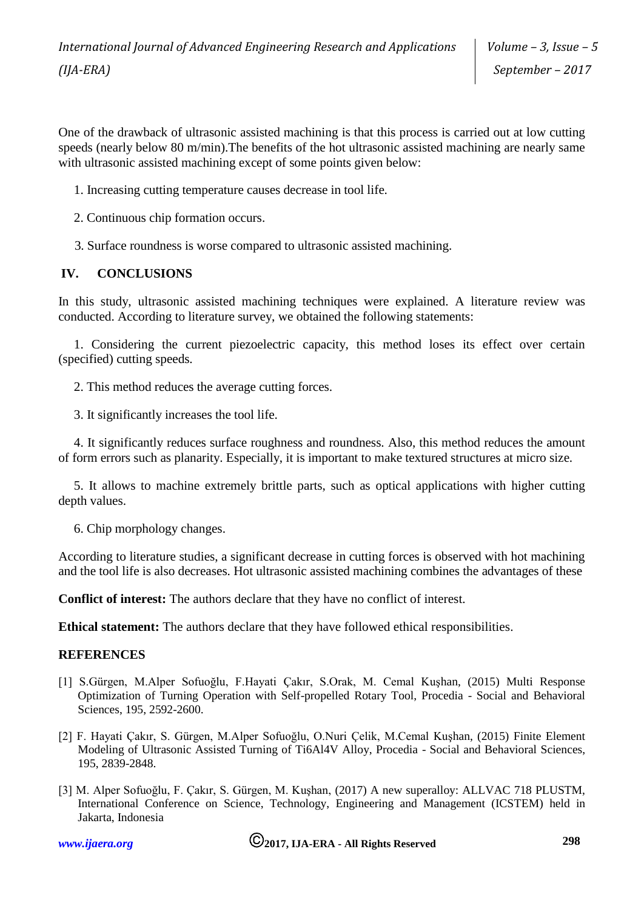One of the drawback of ultrasonic assisted machining is that this process is carried out at low cutting speeds (nearly below 80 m/min).The benefits of the hot ultrasonic assisted machining are nearly same with ultrasonic assisted machining except of some points given below:

1. Increasing cutting temperature causes decrease in tool life.

2. Continuous chip formation occurs.

3. Surface roundness is worse compared to ultrasonic assisted machining.

## **IV. CONCLUSIONS**

In this study, ultrasonic assisted machining techniques were explained. A literature review was conducted. According to literature survey, we obtained the following statements:

1. Considering the current piezoelectric capacity, this method loses its effect over certain (specified) cutting speeds.

2. This method reduces the average cutting forces.

3. It significantly increases the tool life.

4. It significantly reduces surface roughness and roundness. Also, this method reduces the amount of form errors such as planarity. Especially, it is important to make textured structures at micro size.

5. It allows to machine extremely brittle parts, such as optical applications with higher cutting depth values.

6. Chip morphology changes.

According to literature studies, a significant decrease in cutting forces is observed with hot machining and the tool life is also decreases. Hot ultrasonic assisted machining combines the advantages of these

**Conflict of interest:** The authors declare that they have no conflict of interest.

**Ethical statement:** The authors declare that they have followed ethical responsibilities.

#### **REFERENCES**

- [1] S.Gürgen, M.Alper Sofuoğlu, F.Hayati Çakır, S.Orak, M. Cemal Kuşhan, (2015) Multi Response Optimization of Turning Operation with Self-propelled Rotary Tool, Procedia - Social and Behavioral Sciences, 195, 2592-2600.
- [2] F. Hayati Çakır, S. Gürgen, M.Alper Sofuoğlu, O.Nuri Çelik, M.Cemal Kuşhan, (2015) Finite Element Modeling of Ultrasonic Assisted Turning of Ti6Al4V Alloy, Procedia - Social and Behavioral Sciences, 195, 2839-2848.
- [3] M. Alper Sofuoğlu, F. Çakır, S. Gürgen, M. Kuşhan, (2017) A new superalloy: ALLVAC 718 PLUSTM, International Conference on Science, Technology, Engineering and Management (ICSTEM) held in Jakarta, Indonesia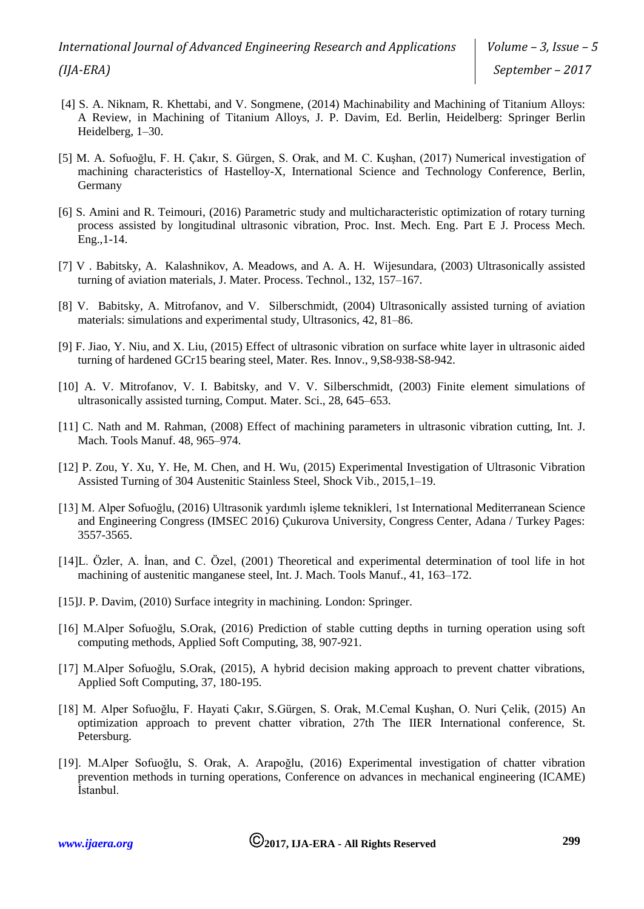- [4] S. A. Niknam, R. Khettabi, and V. Songmene, (2014) Machinability and Machining of Titanium Alloys: A Review, in Machining of Titanium Alloys, J. P. Davim, Ed. Berlin, Heidelberg: Springer Berlin Heidelberg, 1–30.
- [5] M. A. Sofuoğlu, F. H. Çakır, S. Gürgen, S. Orak, and M. C. Kuşhan, (2017) Numerical investigation of machining characteristics of Hastelloy-X, International Science and Technology Conference, Berlin, Germany
- [6] S. Amini and R. Teimouri, (2016) Parametric study and multicharacteristic optimization of rotary turning process assisted by longitudinal ultrasonic vibration, Proc. Inst. Mech. Eng. Part E J. Process Mech. Eng.,1-14.
- [7] V . Babitsky, A. Kalashnikov, A. Meadows, and A. A. H. Wijesundara, (2003) Ultrasonically assisted turning of aviation materials, J. Mater. Process. Technol., 132, 157–167.
- [8] V. Babitsky, A. Mitrofanov, and V. Silberschmidt, (2004) Ultrasonically assisted turning of aviation materials: simulations and experimental study, Ultrasonics, 42, 81–86.
- [9] F. Jiao, Y. Niu, and X. Liu, (2015) Effect of ultrasonic vibration on surface white layer in ultrasonic aided turning of hardened GCr15 bearing steel, Mater. Res. Innov., 9,S8-938-S8-942.
- [10] A. V. Mitrofanov, V. I. Babitsky, and V. V. Silberschmidt, (2003) Finite element simulations of ultrasonically assisted turning, Comput. Mater. Sci., 28, 645–653.
- [11] C. Nath and M. Rahman, (2008) Effect of machining parameters in ultrasonic vibration cutting, Int. J. Mach. Tools Manuf. 48, 965–974.
- [12] P. Zou, Y. Xu, Y. He, M. Chen, and H. Wu, (2015) Experimental Investigation of Ultrasonic Vibration Assisted Turning of 304 Austenitic Stainless Steel, Shock Vib., 2015,1–19.
- [13] M. Alper Sofuoğlu, (2016) Ultrasonik yardımlı işleme teknikleri, 1st International Mediterranean Science and Engineering Congress (IMSEC 2016) Çukurova University, Congress Center, Adana / Turkey Pages: 3557-3565.
- [14]L. Özler, A. İnan, and C. Özel, (2001) Theoretical and experimental determination of tool life in hot machining of austenitic manganese steel, Int. J. Mach. Tools Manuf., 41, 163–172.
- [15] J. P. Davim, (2010) Surface integrity in machining. London: Springer.
- [16] M.Alper Sofuoğlu, S.Orak, (2016) Prediction of stable cutting depths in turning operation using soft computing methods, Applied Soft Computing, 38, 907-921.
- [17] M.Alper Sofuoğlu, S.Orak, (2015), A hybrid decision making approach to prevent chatter vibrations, Applied Soft Computing, 37, 180-195.
- [18] M. Alper Sofuoğlu, F. Hayati Çakır, S.Gürgen, S. Orak, M.Cemal Kuşhan, O. Nuri Çelik, (2015) An optimization approach to prevent chatter vibration, 27th The IIER International conference, St. Petersburg.
- [19]. M.Alper Sofuoğlu, S. Orak, A. Arapoğlu, (2016) Experimental investigation of chatter vibration prevention methods in turning operations, Conference on advances in mechanical engineering (ICAME) İstanbul.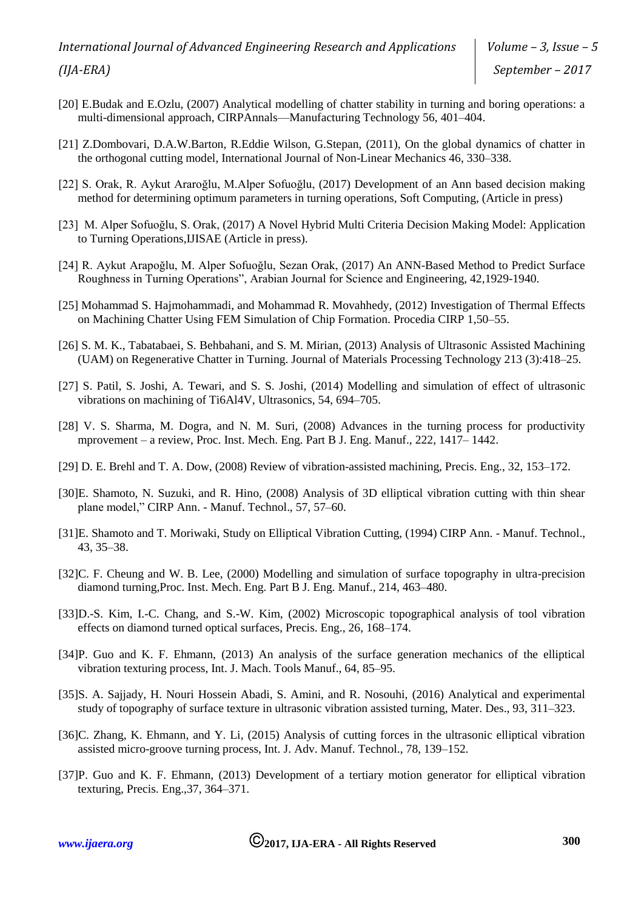# *International Journal of Advanced Engineering Research and Applications (IJA-ERA)*

*Volume – 3, Issue – 5 September – 2017*

- [20] E.Budak and E.Ozlu, (2007) Analytical modelling of chatter stability in turning and boring operations: a multi-dimensional approach, CIRPAnnals—Manufacturing Technology 56, 401–404.
- [21] Z.Dombovari, D.A.W.Barton, R.Eddie Wilson, G.Stepan, (2011), On the global dynamics of chatter in the orthogonal cutting model, International Journal of Non-Linear Mechanics 46, 330–338.
- [22] S. Orak, R. Aykut Araroğlu, M.Alper Sofuoğlu, (2017) Development of an Ann based decision making method for determining optimum parameters in turning operations, Soft Computing, (Article in press)
- [23] M. Alper Sofuoğlu, S. Orak, (2017) A Novel Hybrid Multi Criteria Decision Making Model: Application to Turning Operations,IJISAE (Article in press).
- [24] R. Aykut Arapoğlu, M. Alper Sofuoğlu, Sezan Orak, (2017) An ANN-Based Method to Predict Surface Roughness in Turning Operations", Arabian Journal for Science and Engineering, 42,1929-1940.
- [25] Mohammad S. Hajmohammadi, and Mohammad R. Movahhedy, (2012) Investigation of Thermal Effects on Machining Chatter Using FEM Simulation of Chip Formation. Procedia CIRP 1,50–55.
- [26] S. M. K., Tabatabaei, S. Behbahani, and S. M. Mirian, (2013) Analysis of Ultrasonic Assisted Machining (UAM) on Regenerative Chatter in Turning. Journal of Materials Processing Technology 213 (3):418–25.
- [27] S. Patil, S. Joshi, A. Tewari, and S. S. Joshi, (2014) Modelling and simulation of effect of ultrasonic vibrations on machining of Ti6Al4V, Ultrasonics, 54, 694–705.
- [28] V. S. Sharma, M. Dogra, and N. M. Suri, (2008) Advances in the turning process for productivity mprovement – a review, Proc. Inst. Mech. Eng. Part B J. Eng. Manuf., 222, 1417– 1442.
- [29] D. E. Brehl and T. A. Dow, (2008) Review of vibration-assisted machining, Precis. Eng., 32, 153–172.
- [30]E. Shamoto, N. Suzuki, and R. Hino, (2008) Analysis of 3D elliptical vibration cutting with thin shear plane model," CIRP Ann. - Manuf. Technol., 57, 57–60.
- [31]E. Shamoto and T. Moriwaki, Study on Elliptical Vibration Cutting, (1994) CIRP Ann. Manuf. Technol., 43, 35–38.
- [32]C. F. Cheung and W. B. Lee, (2000) Modelling and simulation of surface topography in ultra-precision diamond turning,Proc. Inst. Mech. Eng. Part B J. Eng. Manuf., 214, 463–480.
- [33]D.-S. Kim, I.-C. Chang, and S.-W. Kim, (2002) Microscopic topographical analysis of tool vibration effects on diamond turned optical surfaces, Precis. Eng., 26, 168–174.
- [34]P. Guo and K. F. Ehmann, (2013) An analysis of the surface generation mechanics of the elliptical vibration texturing process, Int. J. Mach. Tools Manuf., 64, 85–95.
- [35]S. A. Sajjady, H. Nouri Hossein Abadi, S. Amini, and R. Nosouhi, (2016) Analytical and experimental study of topography of surface texture in ultrasonic vibration assisted turning, Mater. Des., 93, 311–323.
- [36]C. Zhang, K. Ehmann, and Y. Li, (2015) Analysis of cutting forces in the ultrasonic elliptical vibration assisted micro-groove turning process, Int. J. Adv. Manuf. Technol., 78, 139–152.
- [37]P. Guo and K. F. Ehmann, (2013) Development of a tertiary motion generator for elliptical vibration texturing, Precis. Eng.,37, 364–371.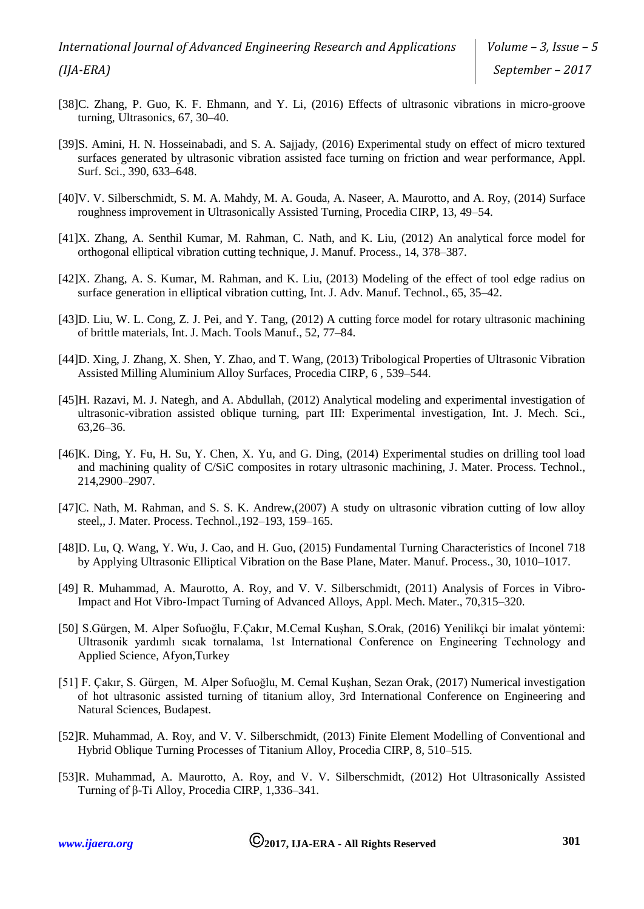- [38]C. Zhang, P. Guo, K. F. Ehmann, and Y. Li, (2016) Effects of ultrasonic vibrations in micro-groove turning, Ultrasonics, 67, 30–40.
- [39]S. Amini, H. N. Hosseinabadi, and S. A. Sajjady, (2016) Experimental study on effect of micro textured surfaces generated by ultrasonic vibration assisted face turning on friction and wear performance, Appl. Surf. Sci., 390, 633–648.
- [40]V. V. Silberschmidt, S. M. A. Mahdy, M. A. Gouda, A. Naseer, A. Maurotto, and A. Roy, (2014) Surface roughness improvement in Ultrasonically Assisted Turning, Procedia CIRP, 13, 49–54.
- [41]X. Zhang, A. Senthil Kumar, M. Rahman, C. Nath, and K. Liu, (2012) An analytical force model for orthogonal elliptical vibration cutting technique, J. Manuf. Process., 14, 378–387.
- [42]X. Zhang, A. S. Kumar, M. Rahman, and K. Liu, (2013) Modeling of the effect of tool edge radius on surface generation in elliptical vibration cutting, Int. J. Adv. Manuf. Technol., 65, 35–42.
- [43]D. Liu, W. L. Cong, Z. J. Pei, and Y. Tang, (2012) A cutting force model for rotary ultrasonic machining of brittle materials, Int. J. Mach. Tools Manuf., 52, 77–84.
- [44]D. Xing, J. Zhang, X. Shen, Y. Zhao, and T. Wang, (2013) Tribological Properties of Ultrasonic Vibration Assisted Milling Aluminium Alloy Surfaces, Procedia CIRP, 6 , 539–544.
- [45]H. Razavi, M. J. Nategh, and A. Abdullah, (2012) Analytical modeling and experimental investigation of ultrasonic-vibration assisted oblique turning, part III: Experimental investigation, Int. J. Mech. Sci., 63,26–36.
- [46]K. Ding, Y. Fu, H. Su, Y. Chen, X. Yu, and G. Ding, (2014) Experimental studies on drilling tool load and machining quality of C/SiC composites in rotary ultrasonic machining, J. Mater. Process. Technol., 214,2900–2907.
- [47]C. Nath, M. Rahman, and S. S. K. Andrew,(2007) A study on ultrasonic vibration cutting of low alloy steel,, J. Mater. Process. Technol.,192–193, 159–165.
- [48]D. Lu, Q. Wang, Y. Wu, J. Cao, and H. Guo, (2015) Fundamental Turning Characteristics of Inconel 718 by Applying Ultrasonic Elliptical Vibration on the Base Plane, Mater. Manuf. Process., 30, 1010–1017.
- [49] R. Muhammad, A. Maurotto, A. Roy, and V. V. Silberschmidt, (2011) Analysis of Forces in Vibro-Impact and Hot Vibro-Impact Turning of Advanced Alloys, Appl. Mech. Mater., 70,315–320.
- [50] S.Gürgen, M. Alper Sofuoğlu, F.Çakır, M.Cemal Kuşhan, S.Orak, (2016) Yenilikçi bir imalat yöntemi: Ultrasonik yardımlı sıcak tornalama, 1st International Conference on Engineering Technology and Applied Science, Afyon,Turkey
- [51] F. Çakır, S. Gürgen, M. Alper Sofuoğlu, M. Cemal Kuşhan, Sezan Orak, (2017) Numerical investigation of hot ultrasonic assisted turning of titanium alloy, 3rd International Conference on Engineering and Natural Sciences, Budapest.
- [52]R. Muhammad, A. Roy, and V. V. Silberschmidt, (2013) Finite Element Modelling of Conventional and Hybrid Oblique Turning Processes of Titanium Alloy, Procedia CIRP, 8, 510–515.
- [53]R. Muhammad, A. Maurotto, A. Roy, and V. V. Silberschmidt, (2012) Hot Ultrasonically Assisted Turning of β-Ti Alloy, Procedia CIRP, 1,336–341.